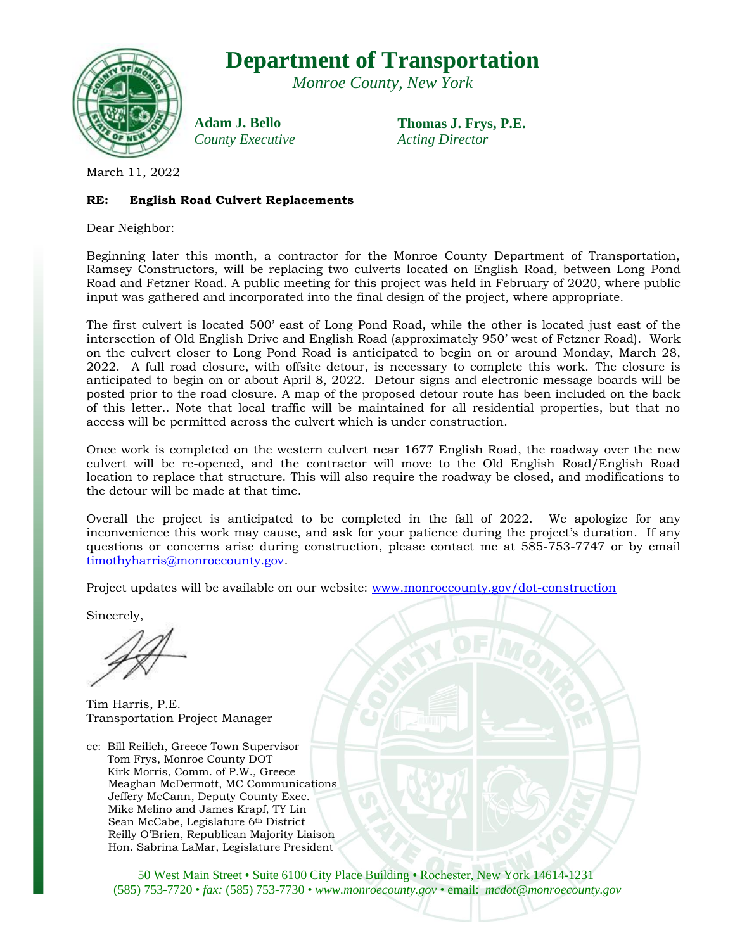## **Department of Transportation**

*Monroe County, New York*



**Adam J. Bello** *County Executive*

**Thomas J. Frys, P.E.** *Acting Director*

March 11, 2022

## **RE: English Road Culvert Replacements**

Dear Neighbor:

Beginning later this month, a contractor for the Monroe County Department of Transportation, Ramsey Constructors, will be replacing two culverts located on English Road, between Long Pond Road and Fetzner Road. A public meeting for this project was held in February of 2020, where public input was gathered and incorporated into the final design of the project, where appropriate.

The first culvert is located 500' east of Long Pond Road, while the other is located just east of the intersection of Old English Drive and English Road (approximately 950' west of Fetzner Road). Work on the culvert closer to Long Pond Road is anticipated to begin on or around Monday, March 28, 2022. A full road closure, with offsite detour, is necessary to complete this work. The closure is anticipated to begin on or about April 8, 2022. Detour signs and electronic message boards will be posted prior to the road closure. A map of the proposed detour route has been included on the back of this letter.. Note that local traffic will be maintained for all residential properties, but that no access will be permitted across the culvert which is under construction.

Once work is completed on the western culvert near 1677 English Road, the roadway over the new culvert will be re-opened, and the contractor will move to the Old English Road/English Road location to replace that structure. This will also require the roadway be closed, and modifications to the detour will be made at that time.

Overall the project is anticipated to be completed in the fall of 2022. We apologize for any inconvenience this work may cause, and ask for your patience during the project's duration. If any questions or concerns arise during construction, please contact me at 585-753-7747 or by email [timothyharris@monroecounty.gov.](mailto:timothyharris@monroecounty.gov)

Project updates will be available on our website: [www.monroecounty.gov/dot-construction](http://www.monroecounty.gov/dot-construction)

Sincerely,

Tim Harris, P.E. Transportation Project Manager

cc: Bill Reilich, Greece Town Supervisor Tom Frys, Monroe County DOT Kirk Morris, Comm. of P.W., Greece Meaghan McDermott, MC Communications Jeffery McCann, Deputy County Exec. Mike Melino and James Krapf, TY Lin Sean McCabe, Legislature 6th District Reilly O'Brien, Republican Majority Liaison Hon. Sabrina LaMar, Legislature President

> 50 West Main Street • Suite 6100 City Place Building • Rochester, New York 14614-1231 (585) 753-7720 • *fax:* (585) 753-7730 • *www.monroecounty.gov* • email: *mcdot@monroecounty.gov*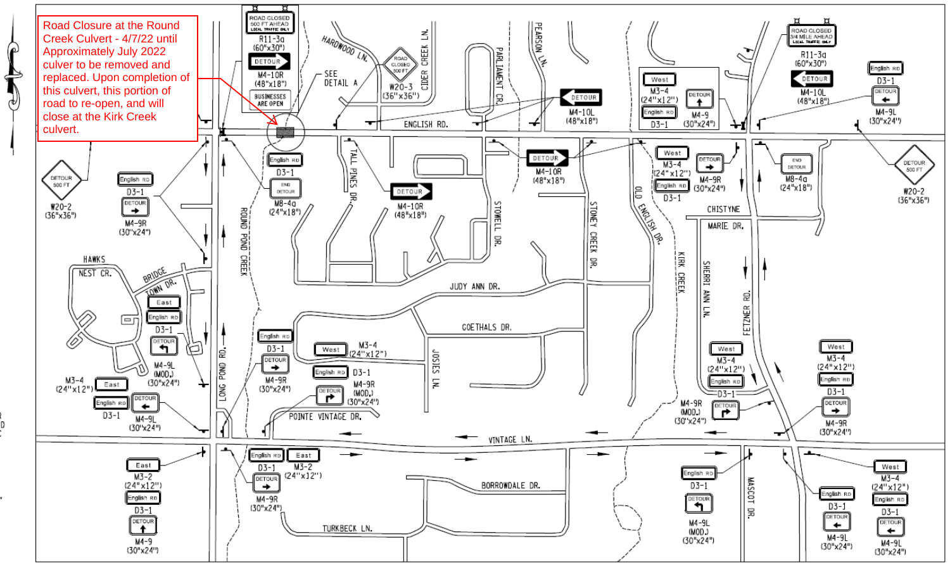